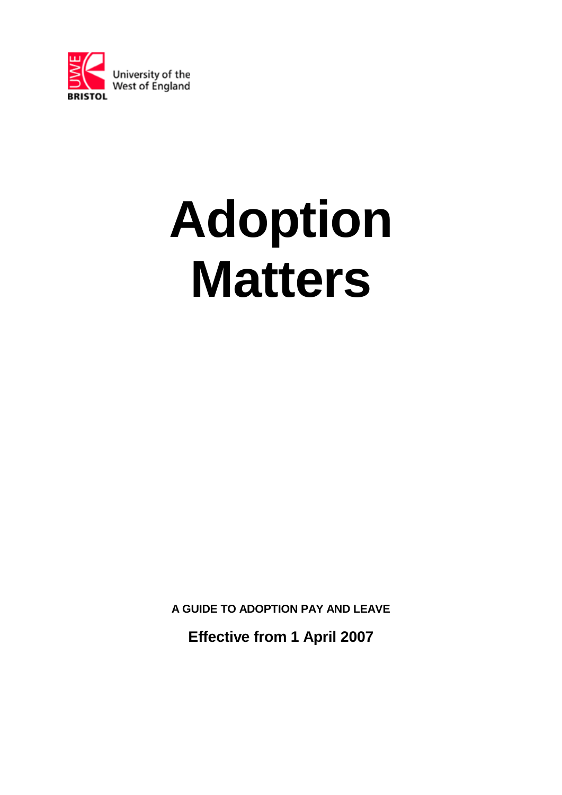

# **Adoption Matters**

**A GUIDE TO ADOPTION PAY AND LEAVE**

**Effective from 1 April 2007**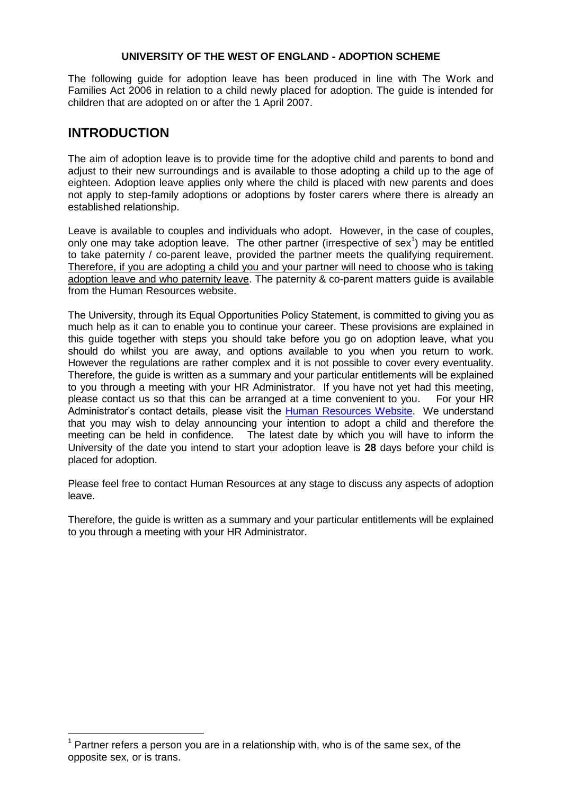#### **UNIVERSITY OF THE WEST OF ENGLAND - ADOPTION SCHEME**

The following guide for adoption leave has been produced in line with The Work and Families Act 2006 in relation to a child newly placed for adoption. The guide is intended for children that are adopted on or after the 1 April 2007.

# **INTRODUCTION**

—<br>—

The aim of adoption leave is to provide time for the adoptive child and parents to bond and adjust to their new surroundings and is available to those adopting a child up to the age of eighteen. Adoption leave applies only where the child is placed with new parents and does not apply to step-family adoptions or adoptions by foster carers where there is already an established relationship.

Leave is available to couples and individuals who adopt. However, in the case of couples, only one may take adoption leave. The other partner (irrespective of sex<sup>1</sup>) may be entitled to take paternity / co-parent leave, provided the partner meets the qualifying requirement. Therefore, if you are adopting a child you and your partner will need to choose who is taking adoption leave and who paternity leave. The paternity & co-parent matters guide is available from the Human Resources website.

The University, through its Equal Opportunities Policy Statement, is committed to giving you as much help as it can to enable you to continue your career. These provisions are explained in this guide together with steps you should take before you go on adoption leave, what you should do whilst you are away, and options available to you when you return to work. However the regulations are rather complex and it is not possible to cover every eventuality. Therefore, the guide is written as a summary and your particular entitlements will be explained to you through a meeting with your HR Administrator. If you have not yet had this meeting, please contact us so that this can be arranged at a time convenient to you. For your HR Administrator's contact details, please visit the [Human Resources](http://imp.uwe.ac.uk/imp_public/listCategory.asp?pid=2&cat=389) Website. We understand that you may wish to delay announcing your intention to adopt a child and therefore the meeting can be held in confidence. The latest date by which you will have to inform the University of the date you intend to start your adoption leave is **28** days before your child is placed for adoption.

Please feel free to contact Human Resources at any stage to discuss any aspects of adoption leave.

Therefore, the guide is written as a summary and your particular entitlements will be explained to you through a meeting with your HR Administrator.

 $1$  Partner refers a person you are in a relationship with, who is of the same sex, of the opposite sex, or is trans.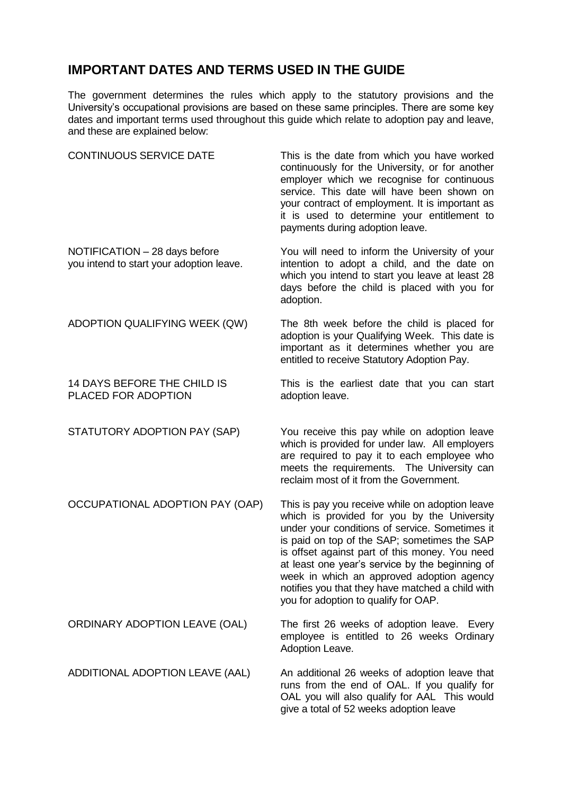# **IMPORTANT DATES AND TERMS USED IN THE GUIDE**

The government determines the rules which apply to the statutory provisions and the University"s occupational provisions are based on these same principles. There are some key dates and important terms used throughout this guide which relate to adoption pay and leave, and these are explained below:

| <b>CONTINUOUS SERVICE DATE</b>                                            | This is the date from which you have worked<br>continuously for the University, or for another<br>employer which we recognise for continuous<br>service. This date will have been shown on<br>your contract of employment. It is important as<br>it is used to determine your entitlement to<br>payments during adoption leave.                                                                                                                |
|---------------------------------------------------------------------------|------------------------------------------------------------------------------------------------------------------------------------------------------------------------------------------------------------------------------------------------------------------------------------------------------------------------------------------------------------------------------------------------------------------------------------------------|
| NOTIFICATION - 28 days before<br>you intend to start your adoption leave. | You will need to inform the University of your<br>intention to adopt a child, and the date on<br>which you intend to start you leave at least 28<br>days before the child is placed with you for<br>adoption.                                                                                                                                                                                                                                  |
| ADOPTION QUALIFYING WEEK (QW)                                             | The 8th week before the child is placed for<br>adoption is your Qualifying Week. This date is<br>important as it determines whether you are<br>entitled to receive Statutory Adoption Pay.                                                                                                                                                                                                                                                     |
| 14 DAYS BEFORE THE CHILD IS<br>PLACED FOR ADOPTION                        | This is the earliest date that you can start<br>adoption leave.                                                                                                                                                                                                                                                                                                                                                                                |
| STATUTORY ADOPTION PAY (SAP)                                              | You receive this pay while on adoption leave<br>which is provided for under law. All employers<br>are required to pay it to each employee who<br>meets the requirements. The University can<br>reclaim most of it from the Government.                                                                                                                                                                                                         |
| OCCUPATIONAL ADOPTION PAY (OAP)                                           | This is pay you receive while on adoption leave<br>which is provided for you by the University<br>under your conditions of service. Sometimes it<br>is paid on top of the SAP; sometimes the SAP<br>is offset against part of this money. You need<br>at least one year's service by the beginning of<br>week in which an approved adoption agency<br>notifies you that they have matched a child with<br>you for adoption to qualify for OAP. |
| ORDINARY ADOPTION LEAVE (OAL)                                             | The first 26 weeks of adoption leave. Every<br>employee is entitled to 26 weeks Ordinary<br>Adoption Leave.                                                                                                                                                                                                                                                                                                                                    |
| ADDITIONAL ADOPTION LEAVE (AAL)                                           | An additional 26 weeks of adoption leave that<br>runs from the end of OAL. If you qualify for<br>OAL you will also qualify for AAL This would<br>give a total of 52 weeks adoption leave                                                                                                                                                                                                                                                       |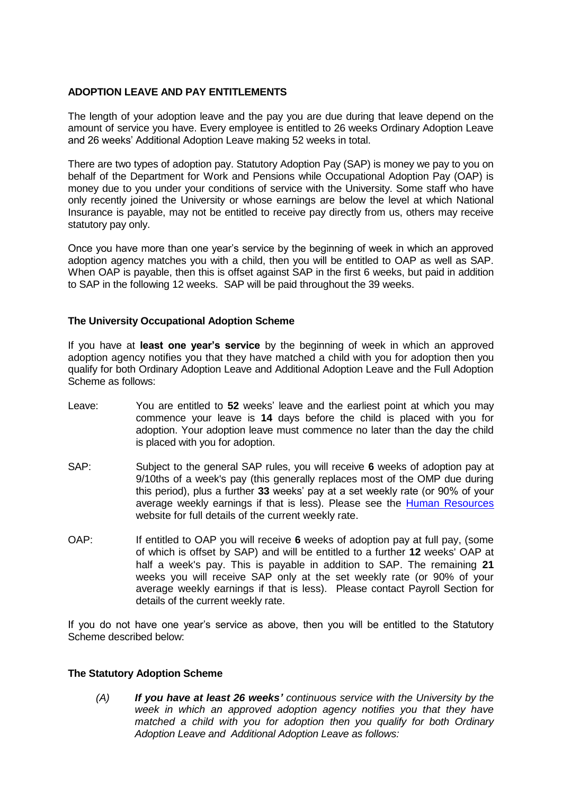## **ADOPTION LEAVE AND PAY ENTITLEMENTS**

The length of your adoption leave and the pay you are due during that leave depend on the amount of service you have. Every employee is entitled to 26 weeks Ordinary Adoption Leave and 26 weeks" Additional Adoption Leave making 52 weeks in total.

There are two types of adoption pay. Statutory Adoption Pay (SAP) is money we pay to you on behalf of the Department for Work and Pensions while Occupational Adoption Pay (OAP) is money due to you under your conditions of service with the University. Some staff who have only recently joined the University or whose earnings are below the level at which National Insurance is payable, may not be entitled to receive pay directly from us, others may receive statutory pay only.

Once you have more than one year"s service by the beginning of week in which an approved adoption agency matches you with a child, then you will be entitled to OAP as well as SAP. When OAP is payable, then this is offset against SAP in the first 6 weeks, but paid in addition to SAP in the following 12 weeks. SAP will be paid throughout the 39 weeks.

### **The University Occupational Adoption Scheme**

If you have at **least one year's service** by the beginning of week in which an approved adoption agency notifies you that they have matched a child with you for adoption then you qualify for both Ordinary Adoption Leave and Additional Adoption Leave and the Full Adoption Scheme as follows:

- Leave: You are entitled to **52** weeks" leave and the earliest point at which you may commence your leave is **14** days before the child is placed with you for adoption. Your adoption leave must commence no later than the day the child is placed with you for adoption.
- SAP: Subject to the general SAP rules, you will receive **6** weeks of adoption pay at 9/10ths of a week's pay (this generally replaces most of the OMP due during this period), plus a further **33** weeks" pay at a set weekly rate (or 90% of your average weekly earnings if that is less). Please see the [Human Resources](http://imp.uwe.ac.uk/imp_public/displayEntry.asp?URN=884&rp=listCategory.asp?cat=424) website for full details of the current weekly rate.
- OAP: If entitled to OAP you will receive **6** weeks of adoption pay at full pay, (some of which is offset by SAP) and will be entitled to a further **12** weeks' OAP at half a week's pay. This is payable in addition to SAP. The remaining **21** weeks you will receive SAP only at the set weekly rate (or 90% of your average weekly earnings if that is less). Please contact Payroll Section for details of the current weekly rate.

If you do not have one year"s service as above, then you will be entitled to the Statutory Scheme described below:

### **The Statutory Adoption Scheme**

*(A) If you have at least 26 weeks' continuous service with the University by the week in which an approved adoption agency notifies you that they have matched a child with you for adoption then you qualify for both Ordinary Adoption Leave and Additional Adoption Leave as follows:*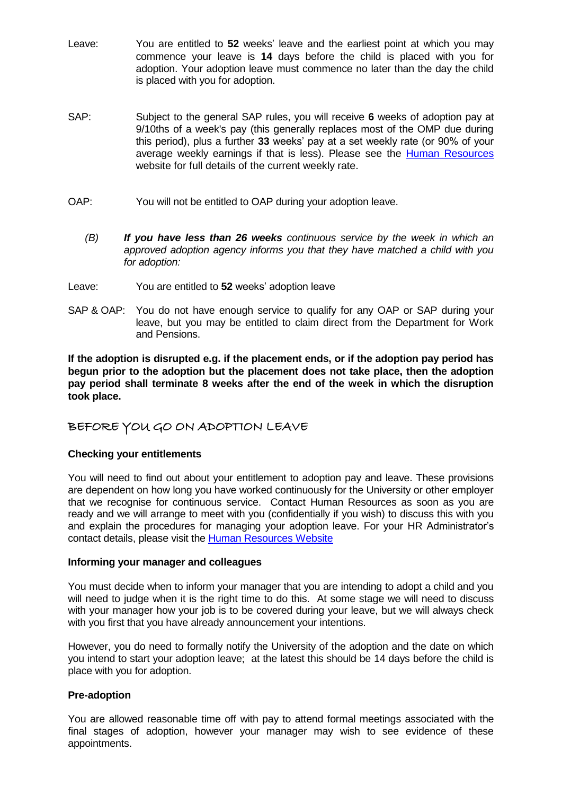- Leave: You are entitled to **52** weeks" leave and the earliest point at which you may commence your leave is **14** days before the child is placed with you for adoption. Your adoption leave must commence no later than the day the child is placed with you for adoption.
- SAP: Subject to the general SAP rules, you will receive **6** weeks of adoption pay at 9/10ths of a week's pay (this generally replaces most of the OMP due during this period), plus a further **33** weeks" pay at a set weekly rate (or 90% of your average weekly earnings if that is less). Please see the [Human Resources](http://imp.uwe.ac.uk/imp_public/displayEntry.asp?URN=884&rp=listCategory.asp?cat=424) website for full details of the current weekly rate.
- OAP: You will not be entitled to OAP during your adoption leave.
	- *(B) If you have less than 26 weeks continuous service by the week in which an approved adoption agency informs you that they have matched a child with you for adoption:*
- Leave: You are entitled to 52 weeks' adoption leave
- SAP & OAP: You do not have enough service to qualify for any OAP or SAP during your leave, but you may be entitled to claim direct from the Department for Work and Pensions.

**If the adoption is disrupted e.g. if the placement ends, or if the adoption pay period has begun prior to the adoption but the placement does not take place, then the adoption pay period shall terminate 8 weeks after the end of the week in which the disruption took place.**

# BEFORE YOU GO ON ADOPTION LEAVE

### **Checking your entitlements**

You will need to find out about your entitlement to adoption pay and leave. These provisions are dependent on how long you have worked continuously for the University or other employer that we recognise for continuous service. Contact Human Resources as soon as you are ready and we will arrange to meet with you (confidentially if you wish) to discuss this with you and explain the procedures for managing your adoption leave. For your HR Administrator's contact details, please visit the [Human Resources](http://imp.uwe.ac.uk/imp_public/listCategory.asp?pid=2&cat=389) Website

## **Informing your manager and colleagues**

You must decide when to inform your manager that you are intending to adopt a child and you will need to judge when it is the right time to do this. At some stage we will need to discuss with your manager how your job is to be covered during your leave, but we will always check with you first that you have already announcement your intentions.

However, you do need to formally notify the University of the adoption and the date on which you intend to start your adoption leave; at the latest this should be 14 days before the child is place with you for adoption.

### **Pre-adoption**

You are allowed reasonable time off with pay to attend formal meetings associated with the final stages of adoption, however your manager may wish to see evidence of these appointments.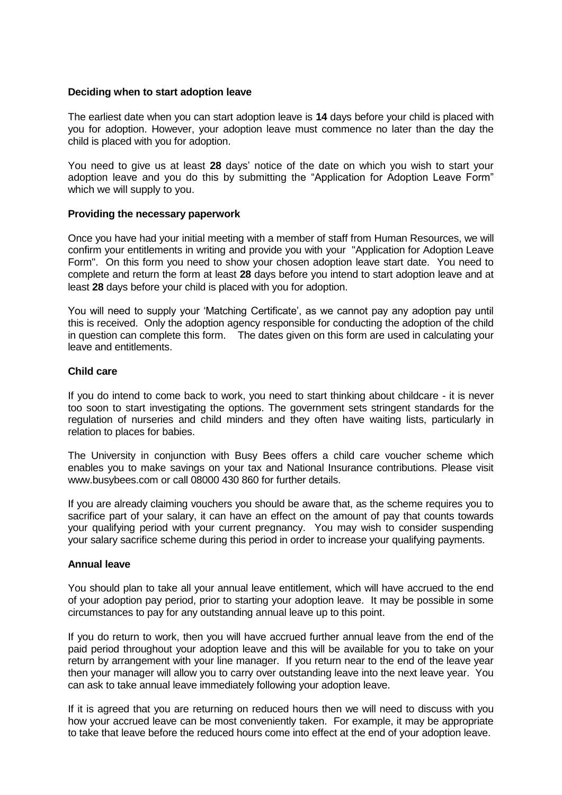#### **Deciding when to start adoption leave**

The earliest date when you can start adoption leave is **14** days before your child is placed with you for adoption. However, your adoption leave must commence no later than the day the child is placed with you for adoption.

You need to give us at least **28** days" notice of the date on which you wish to start your adoption leave and you do this by submitting the "Application for Adoption Leave Form" which we will supply to you.

#### **Providing the necessary paperwork**

Once you have had your initial meeting with a member of staff from Human Resources, we will confirm your entitlements in writing and provide you with your "Application for Adoption Leave Form". On this form you need to show your chosen adoption leave start date. You need to complete and return the form at least **28** days before you intend to start adoption leave and at least **28** days before your child is placed with you for adoption.

You will need to supply your "Matching Certificate", as we cannot pay any adoption pay until this is received. Only the adoption agency responsible for conducting the adoption of the child in question can complete this form. The dates given on this form are used in calculating your leave and entitlements.

#### **Child care**

If you do intend to come back to work, you need to start thinking about childcare - it is never too soon to start investigating the options. The government sets stringent standards for the regulation of nurseries and child minders and they often have waiting lists, particularly in relation to places for babies.

The University in conjunction with Busy Bees offers a child care voucher scheme which enables you to make savings on your tax and National Insurance contributions. Please visit www.busybees.com or call 08000 430 860 for further details.

If you are already claiming vouchers you should be aware that, as the scheme requires you to sacrifice part of your salary, it can have an effect on the amount of pay that counts towards your qualifying period with your current pregnancy. You may wish to consider suspending your salary sacrifice scheme during this period in order to increase your qualifying payments.

#### **Annual leave**

You should plan to take all your annual leave entitlement, which will have accrued to the end of your adoption pay period, prior to starting your adoption leave. It may be possible in some circumstances to pay for any outstanding annual leave up to this point.

If you do return to work, then you will have accrued further annual leave from the end of the paid period throughout your adoption leave and this will be available for you to take on your return by arrangement with your line manager. If you return near to the end of the leave year then your manager will allow you to carry over outstanding leave into the next leave year. You can ask to take annual leave immediately following your adoption leave.

If it is agreed that you are returning on reduced hours then we will need to discuss with you how your accrued leave can be most conveniently taken. For example, it may be appropriate to take that leave before the reduced hours come into effect at the end of your adoption leave.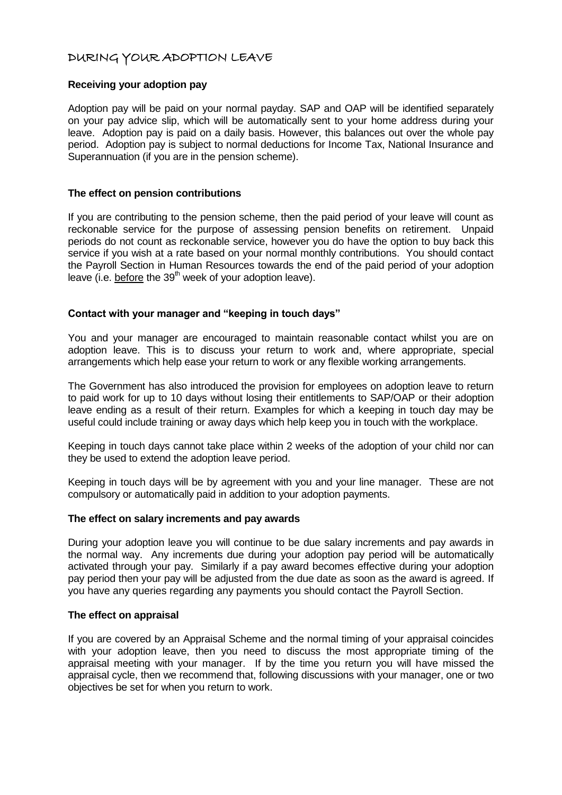# DURING YOUR ADOPTION LEAVE

#### **Receiving your adoption pay**

Adoption pay will be paid on your normal payday. SAP and OAP will be identified separately on your pay advice slip, which will be automatically sent to your home address during your leave. Adoption pay is paid on a daily basis. However, this balances out over the whole pay period. Adoption pay is subject to normal deductions for Income Tax, National Insurance and Superannuation (if you are in the pension scheme).

#### **The effect on pension contributions**

If you are contributing to the pension scheme, then the paid period of your leave will count as reckonable service for the purpose of assessing pension benefits on retirement. Unpaid periods do not count as reckonable service, however you do have the option to buy back this service if you wish at a rate based on your normal monthly contributions. You should contact the Payroll Section in Human Resources towards the end of the paid period of your adoption leave (i.e. before the  $39<sup>th</sup>$  week of your adoption leave).

#### **Contact with your manager and "keeping in touch days"**

You and your manager are encouraged to maintain reasonable contact whilst you are on adoption leave. This is to discuss your return to work and, where appropriate, special arrangements which help ease your return to work or any flexible working arrangements.

The Government has also introduced the provision for employees on adoption leave to return to paid work for up to 10 days without losing their entitlements to SAP/OAP or their adoption leave ending as a result of their return. Examples for which a keeping in touch day may be useful could include training or away days which help keep you in touch with the workplace.

Keeping in touch days cannot take place within 2 weeks of the adoption of your child nor can they be used to extend the adoption leave period.

Keeping in touch days will be by agreement with you and your line manager. These are not compulsory or automatically paid in addition to your adoption payments.

#### **The effect on salary increments and pay awards**

During your adoption leave you will continue to be due salary increments and pay awards in the normal way. Any increments due during your adoption pay period will be automatically activated through your pay. Similarly if a pay award becomes effective during your adoption pay period then your pay will be adjusted from the due date as soon as the award is agreed. If you have any queries regarding any payments you should contact the Payroll Section.

#### **The effect on appraisal**

If you are covered by an Appraisal Scheme and the normal timing of your appraisal coincides with your adoption leave, then you need to discuss the most appropriate timing of the appraisal meeting with your manager. If by the time you return you will have missed the appraisal cycle, then we recommend that, following discussions with your manager, one or two objectives be set for when you return to work.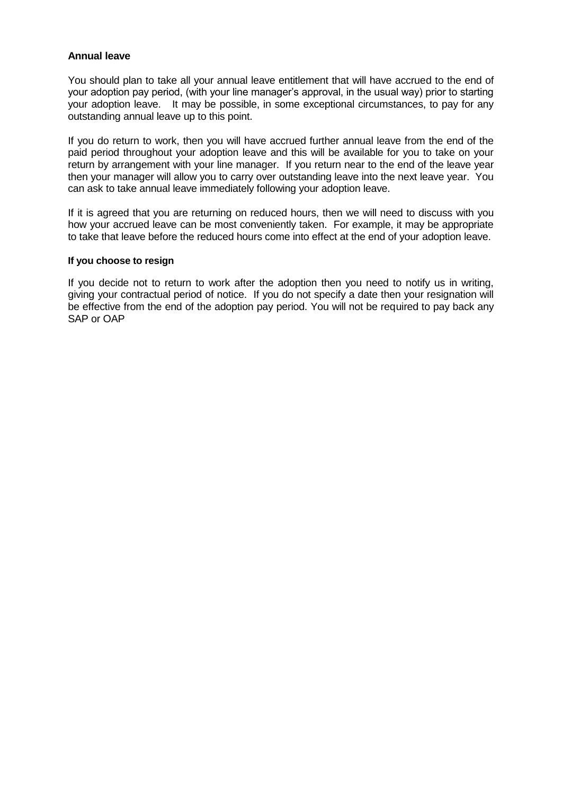#### **Annual leave**

You should plan to take all your annual leave entitlement that will have accrued to the end of your adoption pay period, (with your line manager"s approval, in the usual way) prior to starting your adoption leave. It may be possible, in some exceptional circumstances, to pay for any outstanding annual leave up to this point.

If you do return to work, then you will have accrued further annual leave from the end of the paid period throughout your adoption leave and this will be available for you to take on your return by arrangement with your line manager. If you return near to the end of the leave year then your manager will allow you to carry over outstanding leave into the next leave year. You can ask to take annual leave immediately following your adoption leave.

If it is agreed that you are returning on reduced hours, then we will need to discuss with you how your accrued leave can be most conveniently taken. For example, it may be appropriate to take that leave before the reduced hours come into effect at the end of your adoption leave.

#### **If you choose to resign**

If you decide not to return to work after the adoption then you need to notify us in writing, giving your contractual period of notice. If you do not specify a date then your resignation will be effective from the end of the adoption pay period. You will not be required to pay back any SAP or OAP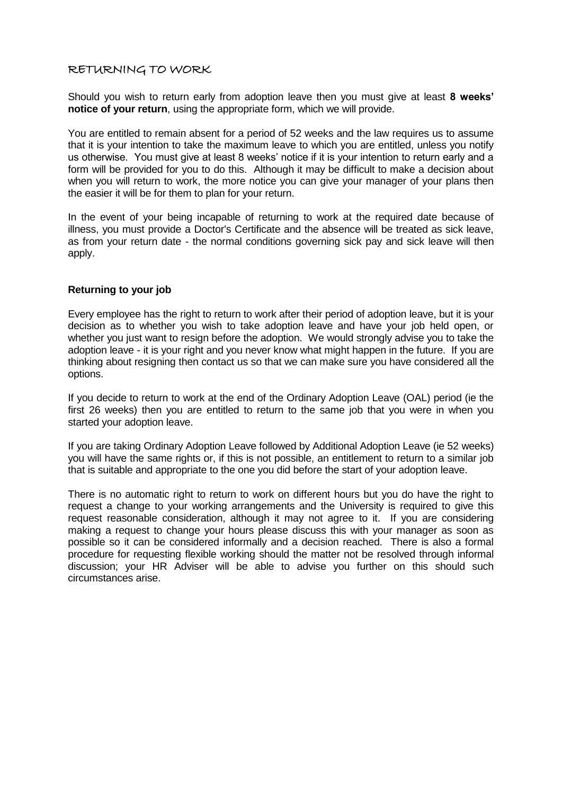## RETURNING TO WORK

Should you wish to return early from adoption leave then you must give at least **8 weeks' notice of your return**, using the appropriate form, which we will provide.

You are entitled to remain absent for a period of 52 weeks and the law requires us to assume that it is your intention to take the maximum leave to which you are entitled, unless you notify us otherwise. You must give at least 8 weeks' notice if it is your intention to return early and a form will be provided for you to do this. Although it may be difficult to make a decision about when you will return to work, the more notice you can give your manager of your plans then the easier it will be for them to plan for your return.

In the event of your being incapable of returning to work at the required date because of illness, you must provide a Doctor's Certificate and the absence will be treated as sick leave, as from your return date - the normal conditions governing sick pay and sick leave will then apply.

#### **Returning to your job**

Every employee has the right to return to work after their period of adoption leave, but it is your decision as to whether you wish to take adoption leave and have your job held open, or whether you just want to resign before the adoption. We would strongly advise you to take the adoption leave - it is your right and you never know what might happen in the future. If you are thinking about resigning then contact us so that we can make sure you have considered all the options.

If you decide to return to work at the end of the Ordinary Adoption Leave (OAL) period (ie the first 26 weeks) then you are entitled to return to the same job that you were in when you started your adoption leave.

If you are taking Ordinary Adoption Leave followed by Additional Adoption Leave (ie 52 weeks) you will have the same rights or, if this is not possible, an entitlement to return to a similar job that is suitable and appropriate to the one you did before the start of your adoption leave.

There is no automatic right to return to work on different hours but you do have the right to request a change to your working arrangements and the University is required to give this request reasonable consideration, although it may not agree to it. If you are considering making a request to change your hours please discuss this with your manager as soon as possible so it can be considered informally and a decision reached. There is also a formal procedure for requesting flexible working should the matter not be resolved through informal discussion; your HR Adviser will be able to advise you further on this should such circumstances arise.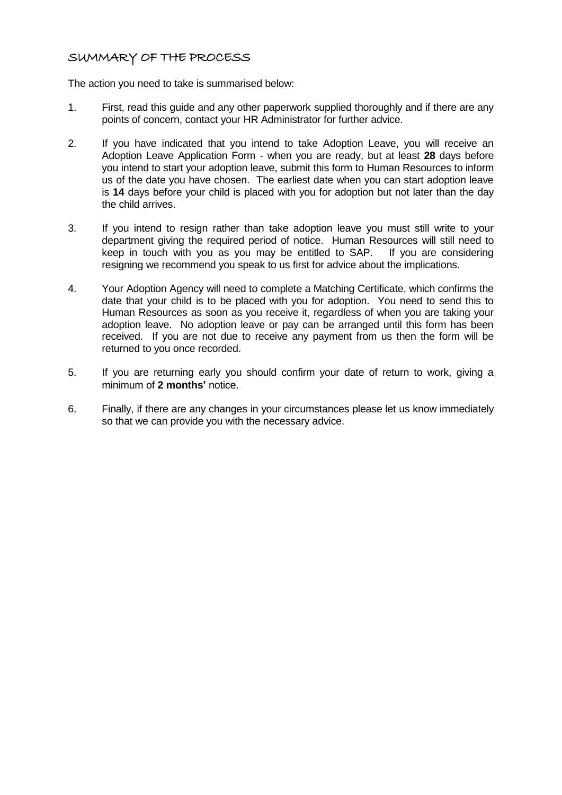# SUMMARY OF THE PROCESS

The action you need to take is summarised below:

- 1. First, read this guide and any other paperwork supplied thoroughly and if there are any points of concern, contact your HR Administrator for further advice.
- 2. If you have indicated that you intend to take Adoption Leave, you will receive an Adoption Leave Application Form - when you are ready, but at least **28** days before you intend to start your adoption leave, submit this form to Human Resources to inform us of the date you have chosen. The earliest date when you can start adoption leave is **14** days before your child is placed with you for adoption but not later than the day the child arrives.
- 3. If you intend to resign rather than take adoption leave you must still write to your department giving the required period of notice. Human Resources will still need to keep in touch with you as you may be entitled to SAP. If you are considering resigning we recommend you speak to us first for advice about the implications.
- 4. Your Adoption Agency will need to complete a Matching Certificate, which confirms the date that your child is to be placed with you for adoption. You need to send this to Human Resources as soon as you receive it, regardless of when you are taking your adoption leave. No adoption leave or pay can be arranged until this form has been received. If you are not due to receive any payment from us then the form will be returned to you once recorded.
- 5. If you are returning early you should confirm your date of return to work, giving a minimum of **2 months'** notice.
- 6. Finally, if there are any changes in your circumstances please let us know immediately so that we can provide you with the necessary advice.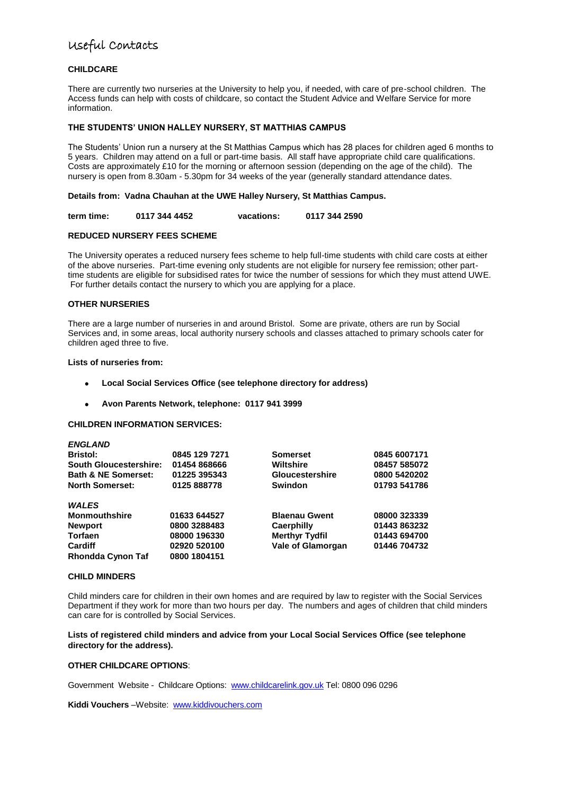# Useful Contacts

#### **CHILDCARE**

There are currently two nurseries at the University to help you, if needed, with care of pre-school children. The Access funds can help with costs of childcare, so contact the Student Advice and Welfare Service for more information.

#### **THE STUDENTS' UNION HALLEY NURSERY, ST MATTHIAS CAMPUS**

The Students" Union run a nursery at the St Matthias Campus which has 28 places for children aged 6 months to 5 years. Children may attend on a full or part-time basis. All staff have appropriate child care qualifications. Costs are approximately £10 for the morning or afternoon session (depending on the age of the child). The nursery is open from 8.30am - 5.30pm for 34 weeks of the year (generally standard attendance dates.

#### **Details from: Vadna Chauhan at the UWE Halley Nursery, St Matthias Campus.**

**term time: 0117 344 4452 vacations: 0117 344 2590**

#### **REDUCED NURSERY FEES SCHEME**

The University operates a reduced nursery fees scheme to help full-time students with child care costs at either of the above nurseries. Part-time evening only students are not eligible for nursery fee remission; other parttime students are eligible for subsidised rates for twice the number of sessions for which they must attend UWE. For further details contact the nursery to which you are applying for a place.

#### **OTHER NURSERIES**

There are a large number of nurseries in and around Bristol. Some are private, others are run by Social Services and, in some areas, local authority nursery schools and classes attached to primary schools cater for children aged three to five.

#### **Lists of nurseries from:**

- **Local Social Services Office (see telephone directory for address)**
- **Avon Parents Network, telephone: 0117 941 3999**  $\bullet$

#### **CHILDREN INFORMATION SERVICES:**

| <b>ENGLAND</b>                 |               |                          |              |
|--------------------------------|---------------|--------------------------|--------------|
| <b>Bristol:</b>                | 0845 129 7271 | <b>Somerset</b>          | 0845 6007171 |
| <b>South Gloucestershire:</b>  | 01454 868666  | <b>Wiltshire</b>         | 08457 585072 |
| <b>Bath &amp; NE Somerset:</b> | 01225 395343  | <b>Gloucestershire</b>   | 0800 5420202 |
| <b>North Somerset:</b>         | 0125 888778   | <b>Swindon</b>           | 01793 541786 |
| <b>WALES</b>                   |               |                          |              |
| Monmouthshire                  | 01633 644527  | <b>Blaenau Gwent</b>     | 08000 323339 |
| <b>Newport</b>                 | 0800 3288483  | <b>Caerphilly</b>        | 01443 863232 |
| Torfaen                        | 08000 196330  | <b>Merthyr Tydfil</b>    | 01443 694700 |
| Cardiff                        | 02920 520100  | <b>Vale of Glamorgan</b> | 01446 704732 |
| Rhondda Cynon Taf              | 0800 1804151  |                          |              |

#### **CHILD MINDERS**

Child minders care for children in their own homes and are required by law to register with the Social Services Department if they work for more than two hours per day. The numbers and ages of children that child minders can care for is controlled by Social Services.

#### **Lists of registered child minders and advice from your Local Social Services Office (see telephone directory for the address).**

#### **OTHER CHILDCARE OPTIONS**:

Government Website - Childcare Options: [www.childcarelink.gov.uk](http://www.childcarelink.gov.uk/) Tel: 0800 096 0296

**Kiddi Vouchers** –Website: [www.kiddivouchers.com](http://www.kiddivouchers.com/)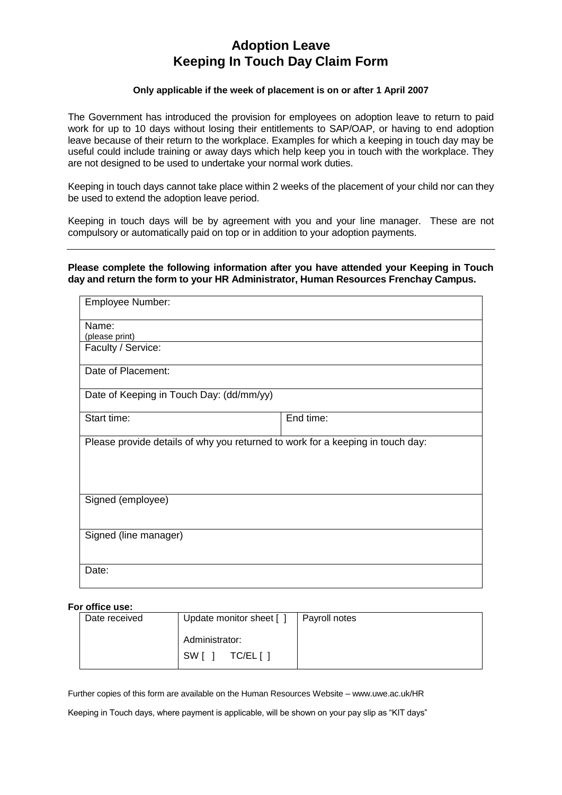# **Adoption Leave Keeping In Touch Day Claim Form**

#### **Only applicable if the week of placement is on or after 1 April 2007**

The Government has introduced the provision for employees on adoption leave to return to paid work for up to 10 days without losing their entitlements to SAP/OAP, or having to end adoption leave because of their return to the workplace. Examples for which a keeping in touch day may be useful could include training or away days which help keep you in touch with the workplace. They are not designed to be used to undertake your normal work duties.

Keeping in touch days cannot take place within 2 weeks of the placement of your child nor can they be used to extend the adoption leave period.

Keeping in touch days will be by agreement with you and your line manager. These are not compulsory or automatically paid on top or in addition to your adoption payments.

#### **Please complete the following information after you have attended your Keeping in Touch day and return the form to your HR Administrator, Human Resources Frenchay Campus.**

| Employee Number:                                                               |           |  |
|--------------------------------------------------------------------------------|-----------|--|
| Name:                                                                          |           |  |
| (please print)                                                                 |           |  |
| Faculty / Service:                                                             |           |  |
| Date of Placement:                                                             |           |  |
| Date of Keeping in Touch Day: (dd/mm/yy)                                       |           |  |
| Start time:                                                                    | End time: |  |
| Please provide details of why you returned to work for a keeping in touch day: |           |  |
| Signed (employee)                                                              |           |  |
| Signed (line manager)                                                          |           |  |
| Date:                                                                          |           |  |

#### **For office use:**

| Date received | Update monitor sheet [] | Payroll notes |
|---------------|-------------------------|---------------|
|               | Administrator:          |               |
|               | SW I<br>TC/EL[ ]        |               |

Further copies of this form are available on the Human Resources Website – www.uwe.ac.uk/HR

Keeping in Touch days, where payment is applicable, will be shown on your pay slip as "KIT days"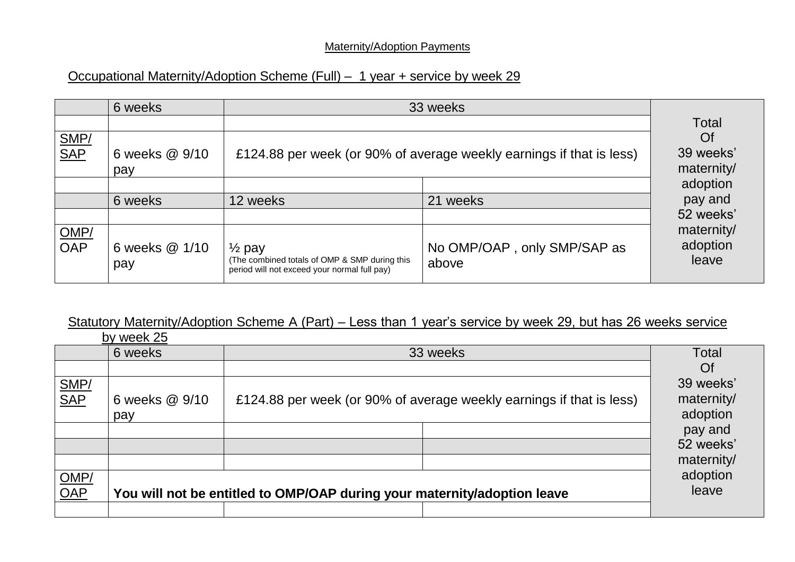# Maternity/Adoption Payments

# Occupational Maternity/Adoption Scheme (Full) – 1 year + service by week 29

|             | 6 weeks               | 33 weeks                                                                                                           |                                      |                                      |
|-------------|-----------------------|--------------------------------------------------------------------------------------------------------------------|--------------------------------------|--------------------------------------|
|             |                       |                                                                                                                    |                                      | <b>Total</b>                         |
| SMP/<br>SAP | 6 weeks @ 9/10<br>pay | £124.88 per week (or 90% of average weekly earnings if that is less)                                               |                                      | <b>Of</b><br>39 weeks'<br>maternity/ |
|             |                       |                                                                                                                    |                                      | adoption                             |
|             | 6 weeks               | 12 weeks                                                                                                           | 21<br>weeks                          | pay and                              |
|             |                       |                                                                                                                    |                                      | 52 weeks'                            |
| OMP/<br>OAP | 6 weeks @ 1/10<br>pay | $\frac{1}{2}$ pay<br>(The combined totals of OMP & SMP during this<br>period will not exceed your normal full pay) | No OMP/OAP, only SMP/SAP as<br>above | maternity/<br>adoption<br>leave      |

# Statutory Maternity/Adoption Scheme A (Part) – Less than 1 year's service by week 29, but has 26 weeks service

|                                  | by week 25                                                               |                                                                      |            |  |
|----------------------------------|--------------------------------------------------------------------------|----------------------------------------------------------------------|------------|--|
|                                  | 6 weeks                                                                  | 33 weeks                                                             | Total      |  |
|                                  |                                                                          |                                                                      | Of         |  |
|                                  |                                                                          |                                                                      | 39 weeks'  |  |
| SMP/<br>SAP                      | 6 weeks @ 9/10                                                           | £124.88 per week (or 90% of average weekly earnings if that is less) | maternity/ |  |
|                                  | pay                                                                      |                                                                      | adoption   |  |
|                                  |                                                                          |                                                                      | pay and    |  |
|                                  |                                                                          |                                                                      | 52 weeks'  |  |
|                                  |                                                                          |                                                                      | maternity/ |  |
|                                  |                                                                          |                                                                      | adoption   |  |
| $\frac{\text{OMP/}}{\text{OAP}}$ | You will not be entitled to OMP/OAP during your maternity/adoption leave |                                                                      |            |  |
|                                  |                                                                          |                                                                      |            |  |